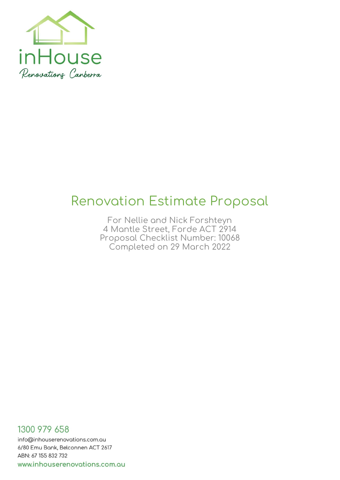

# <span id="page-0-0"></span>**Renovation Estimate Proposal**

**For Nellie and Nick Forshteyn 4 Mantle Street, Forde ACT 2914 Proposal Checklist Number: 10068 Completed on 29 March 2022**

1300 979 658 info@inhouserenovations.com.au 6/80 Emu Bank, Belconnen ACT 2617 ABN: 67 155 832 732 www.inhouserenovations.com.au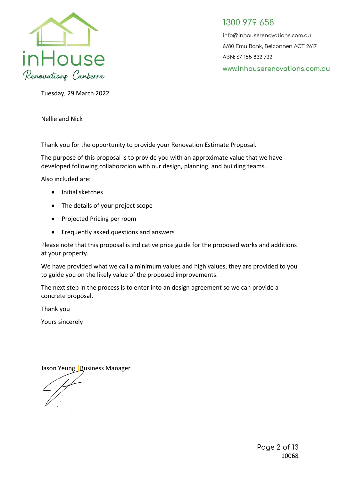

info@inhouserenovations.com.au 6/80 Emu Bank, Belconnen ACT 2617 ABN: 67 155 832 732 www.inhouserenovations.com.au

Tuesday, 29 March 2022

Nellie and Nick

Thank you for the opportunity to provide your Renovation Estimate Proposal.

The purpose of this proposal is to provide you with an approximate value that we have developed following collaboration with our design, planning, and building teams.

Also included are:

- Initial sketches
- The details of your project scope
- Projected Pricing per room
- Frequently asked questions and answers

Please note that this proposal is indicative price guide for the proposed works and additions at your property.

We have provided what we call a minimum values and high values, they are provided to you to guide you on the likely value of the proposed improvements.

The next step in the process is to enter into an design agreement so we can provide a concrete proposal.

Thank you

Yours sincerely

Jason Yeung **|**Business Manager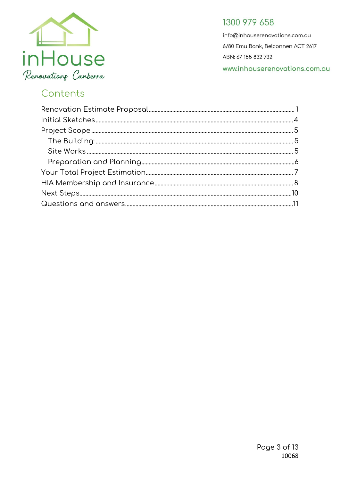

info@inhouserenovations.com.au 6/80 Emu Bank, Belconnen ACT 2617 ABN: 67 155 832 732 www.inhouserenovations.com.au

# Contents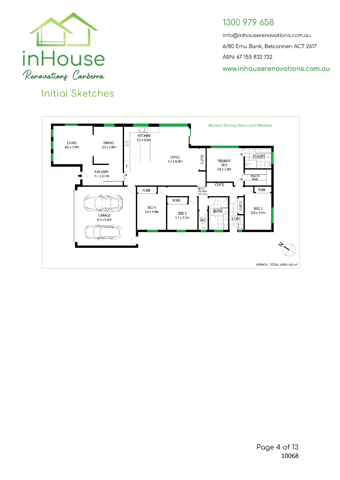

<span id="page-3-0"></span>**Initial Sketches**

## 1300 979 658

info@inhouserenovations.com.au 6/80 Emu Bank, Belconnen ACT 2617 ABN: 67 155 832 732 www.inhouserenovations.com.au

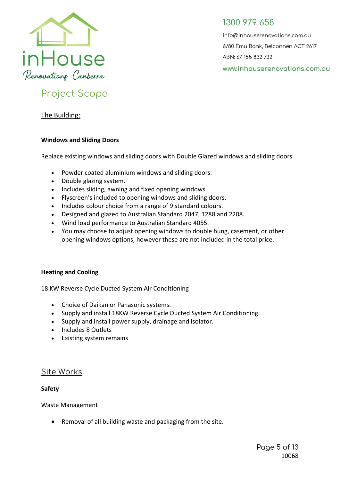

info@inhouserenovations.com.au 6/80 Emu Bank, Belconnen ACT 2617 ABN: 67 155 832 732 www.inhouserenovations.com.au

# <span id="page-4-0"></span>**Project Scope**

<span id="page-4-1"></span>The Building:

#### **Windows and Sliding Doors**

Replace existing windows and sliding doors with Double Glazed windows and sliding doors

- Powder coated aluminium windows and sliding doors.
- Double glazing system.
- Includes sliding, awning and fixed opening windows.
- Flyscreen's included to opening windows and sliding doors.
- Includes colour choice from a range of 9 standard colours.
- Designed and glazed to Australian Standard 2047, 1288 and 2208.
- Wind load performance to Australian Standard 4055.
- You may choose to adjust opening windows to double hung, casement, or other opening windows options, however these are not included in the total price.

#### **Heating and Cooling**

18 KW Reverse Cycle Ducted System Air Conditioning

- Choice of Daikan or Panasonic systems.
- Supply and install 18KW Reverse Cycle Ducted System Air Conditioning.
- Supply and install power supply, drainage and isolator.
- Includes 8 Outlets
- Existing system remains

#### <span id="page-4-2"></span>**Site Works**

#### **Safety**

Waste Management

• Removal of all building waste and packaging from the site.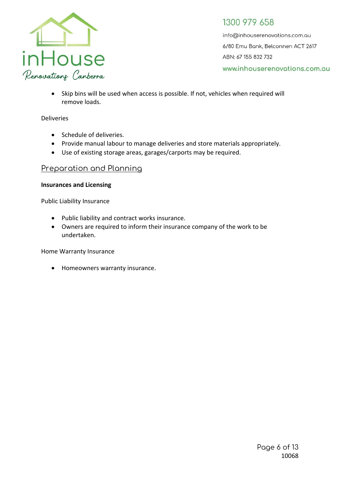

info@inhouserenovations.com.au 6/80 Emu Bank, Belconnen ACT 2617 ABN: 67 155 832 732 www.inhouserenovations.com.au

• Skip bins will be used when access is possible. If not, vehicles when required will remove loads.

#### Deliveries

- Schedule of deliveries.
- Provide manual labour to manage deliveries and store materials appropriately.
- Use of existing storage areas, garages/carports may be required.

#### <span id="page-5-0"></span>**Preparation and Planning**

#### **Insurances and Licensing**

Public Liability Insurance

- Public liability and contract works insurance.
- Owners are required to inform their insurance company of the work to be undertaken.

Home Warranty Insurance

• Homeowners warranty insurance.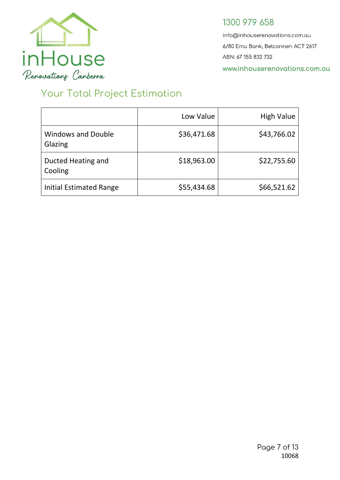

info@inhouserenovations.com.au 6/80 Emu Bank, Belconnen ACT 2617 ABN: 67 155 832 732 www.inhouserenovations.com.au

# <span id="page-6-0"></span>**Your Total Project Estimation**

|                                      | Low Value   | <b>High Value</b> |
|--------------------------------------|-------------|-------------------|
| <b>Windows and Double</b><br>Glazing | \$36,471.68 | \$43,766.02       |
| Ducted Heating and<br>Cooling        | \$18,963.00 | \$22,755.60       |
| <b>Initial Estimated Range</b>       | \$55,434.68 | \$66,521.62       |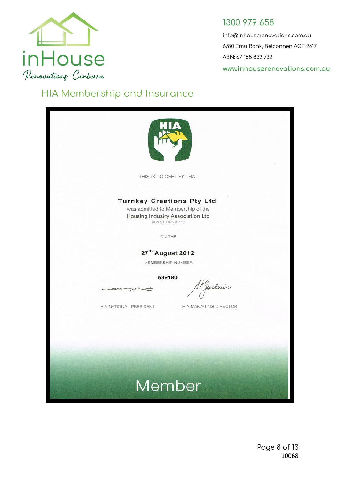

info@inhouserenovations.com.au 6/80 Emu Bank, Belconnen ACT 2617 ABN: 67 155 832 732 www.inhouserenovations.com.au

# <span id="page-7-0"></span>**HIA Membership and Insurance**

| THIS IS TO CERTIFY THAT                                                                                                         |                       |
|---------------------------------------------------------------------------------------------------------------------------------|-----------------------|
| <b>Turnkey Creations Pty Ltd</b><br>was admitted to Membership of the<br>Housing Industry Association Ltd<br>ABN 99 004 631 752 |                       |
| ON THE                                                                                                                          |                       |
| 27 <sup>th</sup> August 2012<br>MEMBERSHIP NUMBER                                                                               |                       |
| 589190                                                                                                                          | Josduin               |
| HIA NATIONAL PRESIDENT                                                                                                          | HIA MANAGING DIRECTOR |
|                                                                                                                                 |                       |
|                                                                                                                                 |                       |
| Member                                                                                                                          |                       |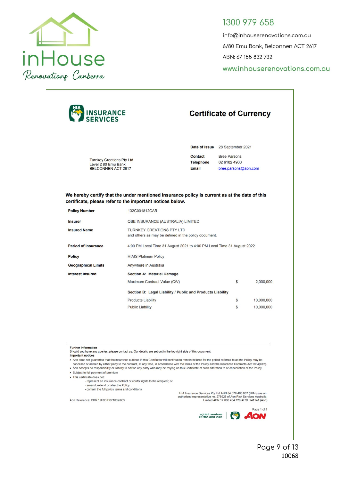

info@inhouserenovations.com.au 6/80 Emu Bank, Belconnen ACT 2617 ABN: 67 155 832 732 www.inhouserenovations.com.au

| <b>INSURANCE</b><br>SERVICES                                                                                                                                                                                                                                     |                                                                                                                                                                                                                                                                                                                                                                                                                                                                                                                                                                                                                                                                                      |                                                                                                                                                           | <b>Certificate of Currency</b>                              |             |  |  |
|------------------------------------------------------------------------------------------------------------------------------------------------------------------------------------------------------------------------------------------------------------------|--------------------------------------------------------------------------------------------------------------------------------------------------------------------------------------------------------------------------------------------------------------------------------------------------------------------------------------------------------------------------------------------------------------------------------------------------------------------------------------------------------------------------------------------------------------------------------------------------------------------------------------------------------------------------------------|-----------------------------------------------------------------------------------------------------------------------------------------------------------|-------------------------------------------------------------|-------------|--|--|
|                                                                                                                                                                                                                                                                  |                                                                                                                                                                                                                                                                                                                                                                                                                                                                                                                                                                                                                                                                                      |                                                                                                                                                           | Date of issue 28 September 2021                             |             |  |  |
| <b>Turnkey Creations Pty Ltd</b><br>Level 2 80 Emu Bank<br><b>BELCONNEN ACT 2617</b>                                                                                                                                                                             |                                                                                                                                                                                                                                                                                                                                                                                                                                                                                                                                                                                                                                                                                      | <b>Contact</b><br><b>Telephone</b><br><b>Email</b>                                                                                                        | <b>Bree Parsons</b><br>02 6102 4900<br>bree.parsons@aon.com |             |  |  |
|                                                                                                                                                                                                                                                                  | We hereby certify that the under mentioned insurance policy is current as at the date of this<br>certificate, please refer to the important notices below.                                                                                                                                                                                                                                                                                                                                                                                                                                                                                                                           |                                                                                                                                                           |                                                             |             |  |  |
| <b>Policy Number</b>                                                                                                                                                                                                                                             | 132C001812CAR                                                                                                                                                                                                                                                                                                                                                                                                                                                                                                                                                                                                                                                                        |                                                                                                                                                           |                                                             |             |  |  |
| <b>Insurer</b>                                                                                                                                                                                                                                                   |                                                                                                                                                                                                                                                                                                                                                                                                                                                                                                                                                                                                                                                                                      | QBE INSURANCE (AUSTRALIA) LIMITED                                                                                                                         |                                                             |             |  |  |
| <b>Insured Name</b>                                                                                                                                                                                                                                              |                                                                                                                                                                                                                                                                                                                                                                                                                                                                                                                                                                                                                                                                                      | <b>TURNKEY CREATIONS PTY LTD</b><br>and others as may be defined in the policy document.                                                                  |                                                             |             |  |  |
| <b>Period of Insurance</b>                                                                                                                                                                                                                                       |                                                                                                                                                                                                                                                                                                                                                                                                                                                                                                                                                                                                                                                                                      | 4:00 PM Local Time 31 August 2021 to 4:00 PM Local Time 31 August 2022                                                                                    |                                                             |             |  |  |
| <b>Policy</b>                                                                                                                                                                                                                                                    | <b>HIAIS Platinum Policy</b>                                                                                                                                                                                                                                                                                                                                                                                                                                                                                                                                                                                                                                                         |                                                                                                                                                           |                                                             |             |  |  |
| <b>Geographical Limits</b>                                                                                                                                                                                                                                       | Anywhere in Australia                                                                                                                                                                                                                                                                                                                                                                                                                                                                                                                                                                                                                                                                |                                                                                                                                                           |                                                             |             |  |  |
| <b>Interest Insured</b>                                                                                                                                                                                                                                          | <b>Section A: Material Damage</b>                                                                                                                                                                                                                                                                                                                                                                                                                                                                                                                                                                                                                                                    |                                                                                                                                                           |                                                             |             |  |  |
|                                                                                                                                                                                                                                                                  |                                                                                                                                                                                                                                                                                                                                                                                                                                                                                                                                                                                                                                                                                      | Maximum Contract Value (C/V)<br>S<br>2,000,000                                                                                                            |                                                             |             |  |  |
|                                                                                                                                                                                                                                                                  | Section B: Legal Liability / Public and Products Liability                                                                                                                                                                                                                                                                                                                                                                                                                                                                                                                                                                                                                           |                                                                                                                                                           |                                                             |             |  |  |
|                                                                                                                                                                                                                                                                  | <b>Products Liability</b>                                                                                                                                                                                                                                                                                                                                                                                                                                                                                                                                                                                                                                                            |                                                                                                                                                           | S                                                           | 10,000,000  |  |  |
|                                                                                                                                                                                                                                                                  | <b>Public Liability</b>                                                                                                                                                                                                                                                                                                                                                                                                                                                                                                                                                                                                                                                              |                                                                                                                                                           | S                                                           | 10,000,000  |  |  |
| <b>Further Information</b><br><b>Important notices</b><br>• Subject to full payment of premium<br>· This certificate does not:<br>- amend, extend or alter the Policy.<br>- contain the full policy terms and conditions<br>Aon Reference: CBR 1JH93 D071809/005 | Should you have any queries, please contact us. Our details are set out in the top right side of this document.<br>. Aon does not guarantee that the insurance outlined in this Certificate will continue to remain in force for the period referred to as the Policy may be<br>cancelled or altered by either party to the contract, at any time, in accordance with the terms of the Policy and the Insurance Contracts Act 1984(Clth).<br>. Aon accepts no responsibility or liability to advise any party who may be relying on this Certificate of such alteration to or cancellation of the Policy.<br>- represent an insurance contract or confer rights to the recipient; or | HIA Insurance Services Pty Ltd ABN 84 076 460 967 (HIAIS) as an<br>authorised representative no. 275925 of Aon Risk Services Australia<br>a joint venture | Limited ABN 17 000 434 720 AFSL 241141 (Aon)                | Page 1 of 1 |  |  |
|                                                                                                                                                                                                                                                                  |                                                                                                                                                                                                                                                                                                                                                                                                                                                                                                                                                                                                                                                                                      | of HIA and Aon                                                                                                                                            |                                                             |             |  |  |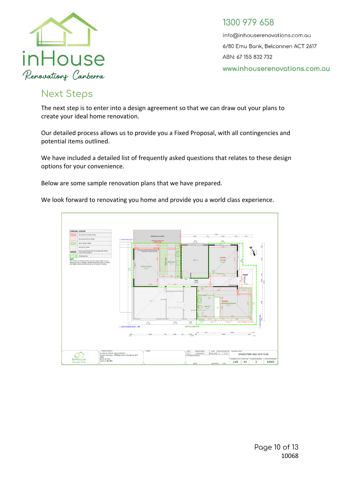

info@inhouserenovations.com.au 6/80 Emu Bank, Belconnen ACT 2617 ABN: 67 155 832 732 www.inhouserenovations.com.au

# <span id="page-9-0"></span>**Next Steps**

The next step is to enter into a design agreement so that we can draw out your plans to create your ideal home renovation.

Our detailed process allows us to provide you a Fixed Proposal, with all contingencies and potential items outlined.

We have included a detailed list of frequently asked questions that relates to these design options for your convenience.

Below are some sample renovation plans that we have prepared.

We look forward to renovating you home and provide you a world class experience.

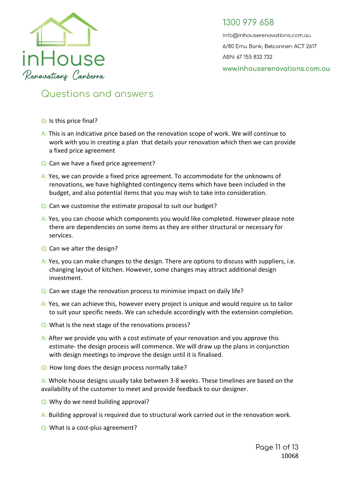

info@inhouserenovations.com.au 6/80 Emu Bank, Belconnen ACT 2617 ABN: 67 155 832 732 www.inhouserenovations.com.gu

# <span id="page-10-0"></span>**Questions and answers**

- **Q:** Is this price final?
- **A:** This is an indicative price based on the renovation scope of work. We will continue to work with you in creating a plan that details your renovation which then we can provide a fixed price agreement
- **Q:** Can we have a fixed price agreement?
- **A:** Yes, we can provide a fixed price agreement. To accommodate for the unknowns of renovations, we have highlighted contingency items which have been included in the budget, and also potential items that you may wish to take into consideration.
- **Q:** Can we customise the estimate proposal to suit our budget?
- **A:** Yes, you can choose which components you would like completed. However please note there are dependencies on some items as they are either structural or necessary for services.
- **Q:** Can we alter the design?
- **A:** Yes, you can make changes to the design. There are options to discuss with suppliers, i.e. changing layout of kitchen. However, some changes may attract additional design investment.
- **Q:** Can we stage the renovation process to minimise impact on daily life?
- **A:** Yes, we can achieve this, however every project is unique and would require us to tailor to suit your specific needs. We can schedule accordingly with the extension completion.
- **Q:** What is the next stage of the renovations process?
- **A:** After we provide you with a cost estimate of your renovation and you approve this estimate- the design process will commence. We will draw up the plans in conjunction with design meetings to improve the design until it is finalised.
- **Q:** How long does the design process normally take?

**A:** Whole house designs usually take between 3-8 weeks. These timelines are based on the availability of the customer to meet and provide feedback to our designer.

- **Q:** Why do we need building approval?
- **A:** Building approval is required due to structural work carried out in the renovation work.
- **Q:** What is a cost-plus agreement?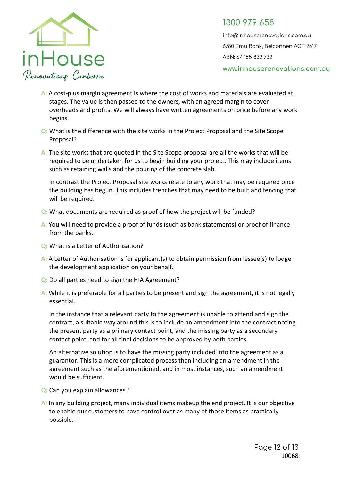

info@inhouserenovations.com.au 6/80 Emu Bank, Belconnen ACT 2617 ABN: 67 155 832 732 www.inhouserenovations.com.au

- **A:** A cost-plus margin agreement is where the cost of works and materials are evaluated at stages. The value is then passed to the owners, with an agreed margin to cover overheads and profits. We will always have written agreements on price before any work begins.
- **Q:** What is the difference with the site works in the Project Proposal and the Site Scope Proposal?
- **A:** The site works that are quoted in the Site Scope proposal are all the works that will be required to be undertaken for us to begin building your project. This may include items such as retaining walls and the pouring of the concrete slab.

In contrast the Project Proposal site works relate to any work that may be required once the building has begun. This includes trenches that may need to be built and fencing that will be required.

- **Q:** What documents are required as proof of how the project will be funded?
- **A:** You will need to provide a proof of funds (such as bank statements) or proof of finance from the banks.
- **Q:** What is a Letter of Authorisation?
- **A:** A Letter of Authorisation is for applicant(s) to obtain permission from lessee(s) to lodge the development application on your behalf.
- **Q:** Do all parties need to sign the HIA Agreement?
- **A:** While it is preferable for all parties to be present and sign the agreement, it is not legally essential.

In the instance that a relevant party to the agreement is unable to attend and sign the contract, a suitable way around this is to include an amendment into the contract noting the present party as a primary contact point, and the missing party as a secondary contact point, and for all final decisions to be approved by both parties.

An alternative solution is to have the missing party included into the agreement as a guarantor. This is a more complicated process than including an amendment in the agreement such as the aforementioned, and in most instances, such an amendment would be sufficient.

- **Q:** Can you explain allowances?
- **A:** In any building project, many individual items makeup the end project. It is our objective to enable our customers to have control over as many of those items as practically possible.